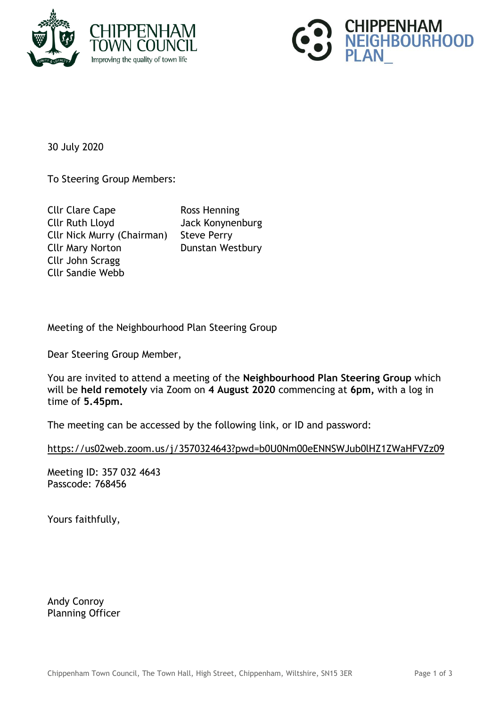



30 July 2020

To Steering Group Members:

Cllr Clare Cape Ross Henning Cllr Ruth Lloyd Jack Konynenburg Cllr Nick Murry (Chairman) Steve Perry Cllr Mary Norton Dunstan Westbury Cllr John Scragg Cllr Sandie Webb

Meeting of the Neighbourhood Plan Steering Group

Dear Steering Group Member,

You are invited to attend a meeting of the **Neighbourhood Plan Steering Group** which will be **held remotely** via Zoom on **4 August 2020** commencing at **6pm,** with a log in time of **5.45pm.**

The meeting can be accessed by the following link, or ID and password:

<https://us02web.zoom.us/j/3570324643?pwd=b0U0Nm00eENNSWJub0lHZ1ZWaHFVZz09>

Meeting ID: 357 032 4643 Passcode: 768456

Yours faithfully,

Andy Conroy Planning Officer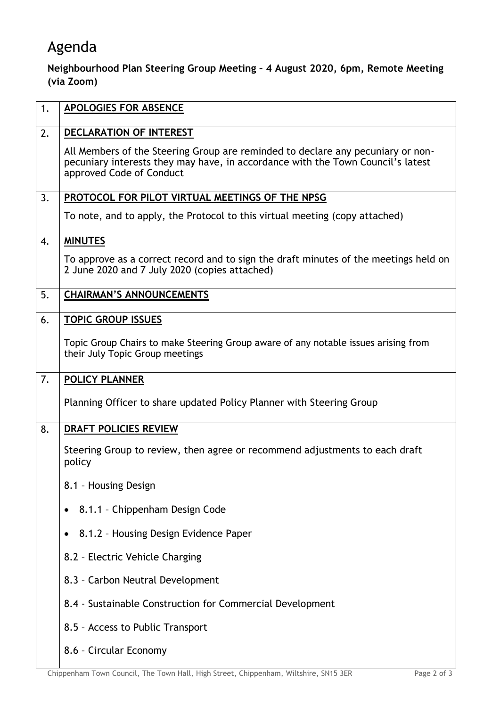## Agenda

## **Neighbourhood Plan Steering Group Meeting – 4 August 2020, 6pm, Remote Meeting (via Zoom)**

| 1. | <b>APOLOGIES FOR ABSENCE</b>                                                                                                                                                                   |
|----|------------------------------------------------------------------------------------------------------------------------------------------------------------------------------------------------|
| 2. | DECLARATION OF INTEREST                                                                                                                                                                        |
|    | All Members of the Steering Group are reminded to declare any pecuniary or non-<br>pecuniary interests they may have, in accordance with the Town Council's latest<br>approved Code of Conduct |
| 3. | PROTOCOL FOR PILOT VIRTUAL MEETINGS OF THE NPSG                                                                                                                                                |
|    | To note, and to apply, the Protocol to this virtual meeting (copy attached)                                                                                                                    |
| 4. | <b>MINUTES</b>                                                                                                                                                                                 |
|    | To approve as a correct record and to sign the draft minutes of the meetings held on<br>2 June 2020 and 7 July 2020 (copies attached)                                                          |
| 5. | <b>CHAIRMAN'S ANNOUNCEMENTS</b>                                                                                                                                                                |
| 6. | <b>TOPIC GROUP ISSUES</b>                                                                                                                                                                      |
|    | Topic Group Chairs to make Steering Group aware of any notable issues arising from<br>their July Topic Group meetings                                                                          |
| 7. | POLICY PLANNER                                                                                                                                                                                 |
|    | Planning Officer to share updated Policy Planner with Steering Group                                                                                                                           |
| 8. | DRAFT POLICIES REVIEW                                                                                                                                                                          |
|    | Steering Group to review, then agree or recommend adjustments to each draft<br>policy                                                                                                          |
|    | 8.1 - Housing Design                                                                                                                                                                           |
|    | 8.1.1 - Chippenham Design Code                                                                                                                                                                 |
|    | 8.1.2 - Housing Design Evidence Paper<br>٠                                                                                                                                                     |
|    | 8.2 - Electric Vehicle Charging                                                                                                                                                                |
|    | 8.3 - Carbon Neutral Development                                                                                                                                                               |
|    | 8.4 - Sustainable Construction for Commercial Development                                                                                                                                      |
|    | 8.5 - Access to Public Transport                                                                                                                                                               |
|    | 8.6 - Circular Economy                                                                                                                                                                         |